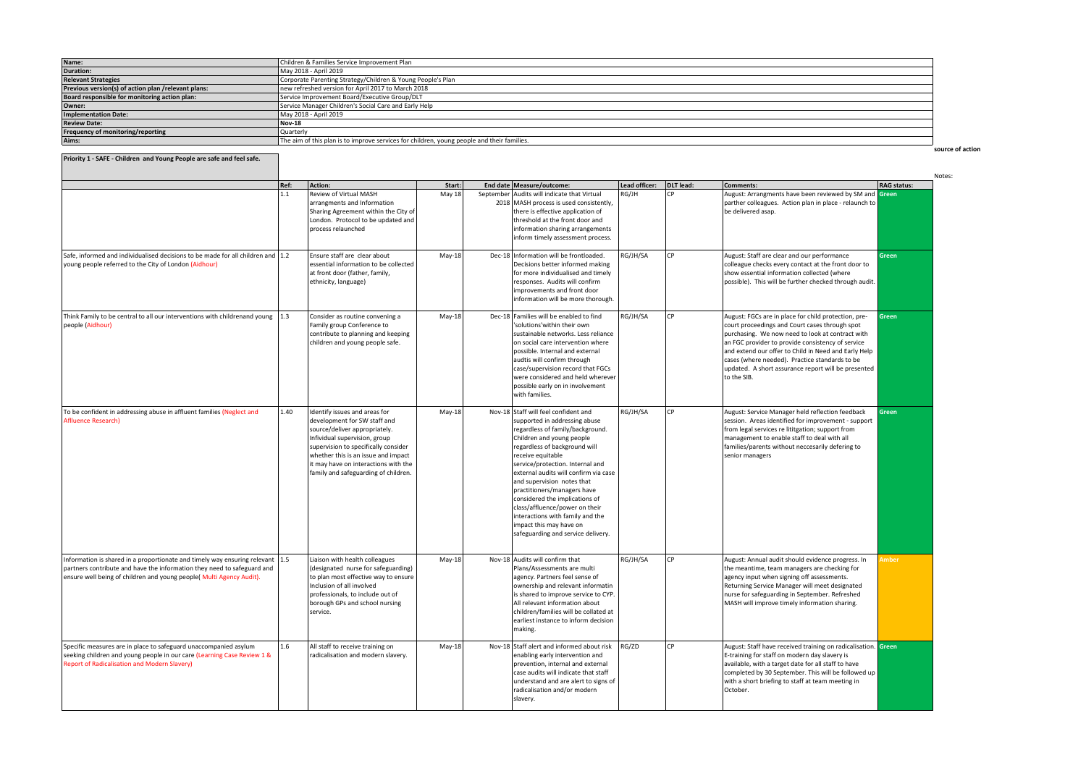| Name:                                               | Children & Families Service Improvement Plan                                               |
|-----------------------------------------------------|--------------------------------------------------------------------------------------------|
| Duration:                                           | May 2018 - April 2019                                                                      |
| <b>Relevant Strategies</b>                          | Corporate Parenting Strategy/Children & Young People's Plan                                |
| Previous version(s) of action plan /relevant plans: | new refreshed version for April 2017 to March 2018                                         |
| Board responsible for monitoring action plan:       | Service Improvement Board/Executive Group/DLT                                              |
| Owner:                                              | Service Manager Children's Social Care and Early Help                                      |
| Implementation Date:                                | May 2018 - April 2019                                                                      |
| <b>Review Date:</b>                                 | Nov-18                                                                                     |
| <b>Frequency of monitoring/reporting</b>            | Quarterly                                                                                  |
| Aims:                                               | The aim of this plan is to improve services for children, young people and their families. |

**source of action**

| ×<br>×<br>۰, |  |
|--------------|--|
|--------------|--|

| Priority 1 - SAFE - Children and Young People are safe and feel safe.                                                                                                                                                                    |         |                                                                                                                                                                                                                                                                                                |          |                                                                                                                                                                                                                                                                                                                                                                                                                                                                                                                 |               |           |                                                                                                                                                                                                                                                                                                                                                                                                 |                    |
|------------------------------------------------------------------------------------------------------------------------------------------------------------------------------------------------------------------------------------------|---------|------------------------------------------------------------------------------------------------------------------------------------------------------------------------------------------------------------------------------------------------------------------------------------------------|----------|-----------------------------------------------------------------------------------------------------------------------------------------------------------------------------------------------------------------------------------------------------------------------------------------------------------------------------------------------------------------------------------------------------------------------------------------------------------------------------------------------------------------|---------------|-----------|-------------------------------------------------------------------------------------------------------------------------------------------------------------------------------------------------------------------------------------------------------------------------------------------------------------------------------------------------------------------------------------------------|--------------------|
|                                                                                                                                                                                                                                          | Ref:    | <b>Action:</b>                                                                                                                                                                                                                                                                                 | Start:   | End date   Measure/outcome:                                                                                                                                                                                                                                                                                                                                                                                                                                                                                     | Lead officer: | DLT lead: | Comments:                                                                                                                                                                                                                                                                                                                                                                                       | <b>RAG status:</b> |
|                                                                                                                                                                                                                                          | 1.1     | Review of Virtual MASH<br>arrangments and Information<br>Sharing Agreement within the City of<br>London. Protocol to be updated and<br>process relaunched                                                                                                                                      | May 18   | September Audits will indicate that Virtual<br>2018 MASH process is used consistently,<br>there is effective application of<br>threshold at the front door and<br>information sharing arrangements<br>inform timely assessment process.                                                                                                                                                                                                                                                                         | RG/JH         | lcp.      | August: Arrangments have been reviewed by SM and Green<br>parther colleagues. Action plan in place - relaunch to<br>be delivered asap.                                                                                                                                                                                                                                                          |                    |
| Safe, informed and individualised decisions to be made for all children and 1.2<br>young people referred to the City of London (Aidhour)                                                                                                 |         | Ensure staff are clear about<br>essential information to be collected<br>at front door (father, family,<br>ethnicity, language)                                                                                                                                                                | $May-18$ | Dec-18 Information will be frontloaded.<br>Decisions better informed making<br>for more individualised and timely<br>responses. Audits will confirm<br>improvements and front door<br>information will be more thorough.                                                                                                                                                                                                                                                                                        | RG/JH/SA      | <b>CP</b> | August: Staff are clear and our performance<br>colleague checks every contact at the front door to<br>show essential information collected (where<br>possible). This will be further checked through audit.                                                                                                                                                                                     | Green              |
| Think Family to be central to all our interventions with childrenand young<br>people (Aidhour)                                                                                                                                           | 1.3     | Consider as routine convening a<br>Family group Conference to<br>contribute to planning and keeping<br>children and young people safe.                                                                                                                                                         | May-18   | Dec-18 Families will be enabled to find<br>'solutions'within their own<br>sustainable networks. Less reliance<br>on social care intervention where<br>possible. Internal and external<br>audtis will confirm through<br>case/supervision record that FGCs<br>were considered and held wherever<br>possible early on in involvement<br>with families.                                                                                                                                                            | RG/JH/SA      | l CP      | August: FGCs are in place for child protection, pre-<br>court proceedings and Court cases through spot<br>purchasing. We now need to look at contract with<br>an FGC provider to provide consistency of service<br>and extend our offer to Child in Need and Early Help<br>cases (where needed). Practice standards to be<br>updated. A short assurance report will be presented<br>to the SIB. | Green              |
| To be confident in addressing abuse in affluent families (Neglect and<br>Aflluence Research)                                                                                                                                             | 1.40    | Identify issues and areas for<br>development for SW staff and<br>source/deliver appropriately.<br>Infividual supervision, group<br>supervision to specifically consider<br>whether this is an issue and impact<br>it may have on interactions with the<br>family and safeguarding of children. | May-18   | Nov-18 Staff will feel confident and<br>supported in addressing abuse<br>regardless of family/background.<br>Children and young people<br>regardless of background will<br>receive equitable<br>service/protection. Internal and<br>external audits will confirm via case<br>and supervision notes that<br>practitioners/managers have<br>considered the implications of<br>class/affluence/power on their<br>interactions with family and the<br>impact this may have on<br>safeguarding and service delivery. | RG/JH/SA      | l CP      | August: Service Manager held reflection feedback<br>session. Areas identified for improvement - support<br>from legal services re lititgation; support from<br>management to enable staff to deal with all<br>families/parents without neccesarily defering to<br>senior managers                                                                                                               | Green              |
| Information is shared in a proportionate and timely way ensuring relevant $\vert$ 1.5<br>partners contribute and have the information they need to safeguard and<br>ensure well being of children and young people( Multi Agency Audit). |         | Liaison with health colleagues<br>(designated nurse for safeguarding)<br>to plan most effective way to ensure<br>Inclusion of all involved<br>professionals, to include out of<br>borough GPs and school nursing<br>service.                                                                   | $May-18$ | Nov-18 Audits will confirm that<br>Plans/Assessments are multi<br>agency. Partners feel sense of<br>ownership and relevant informatin<br>is shared to improve service to CYP.<br>All relevant information about<br>children/families will be collated at<br>earliest instance to inform decision<br>making.                                                                                                                                                                                                     | RG/JH/SA      | l cp.     | August: Annual audit should evidence progress. In<br>the meantime, team managers are checking for<br>agency input when signing off assessments.<br>Returning Service Manager will meet designated<br>nurse for safeguarding in September. Refreshed<br>MASH will improve timely information sharing.                                                                                            | Amber              |
| Specific measures are in place to safeguard unaccompanied asylum<br>seeking children and young people in our care (Learning Case Review 1 &<br><b>Report of Radicalisation and Modern Slavery)</b>                                       | $1.6\,$ | All staff to receive training on<br>radicalisation and modern slavery.                                                                                                                                                                                                                         | $May-18$ | Nov-18 Staff alert and informed about risk<br>enabling early intervention and<br>prevention, internal and external<br>case audits will indicate that staff<br>understand and are alert to signs of<br>radicalisation and/or modern<br>slavery.                                                                                                                                                                                                                                                                  | RG/ZD         | lcp       | August: Staff have received training on radicalisation. Green<br>E-training for staff on modern day slavery is<br>available, with a target date for all staff to have<br>completed by 30 September. This will be followed up<br>with a short briefing to staff at team meeting in<br>October.                                                                                                   |                    |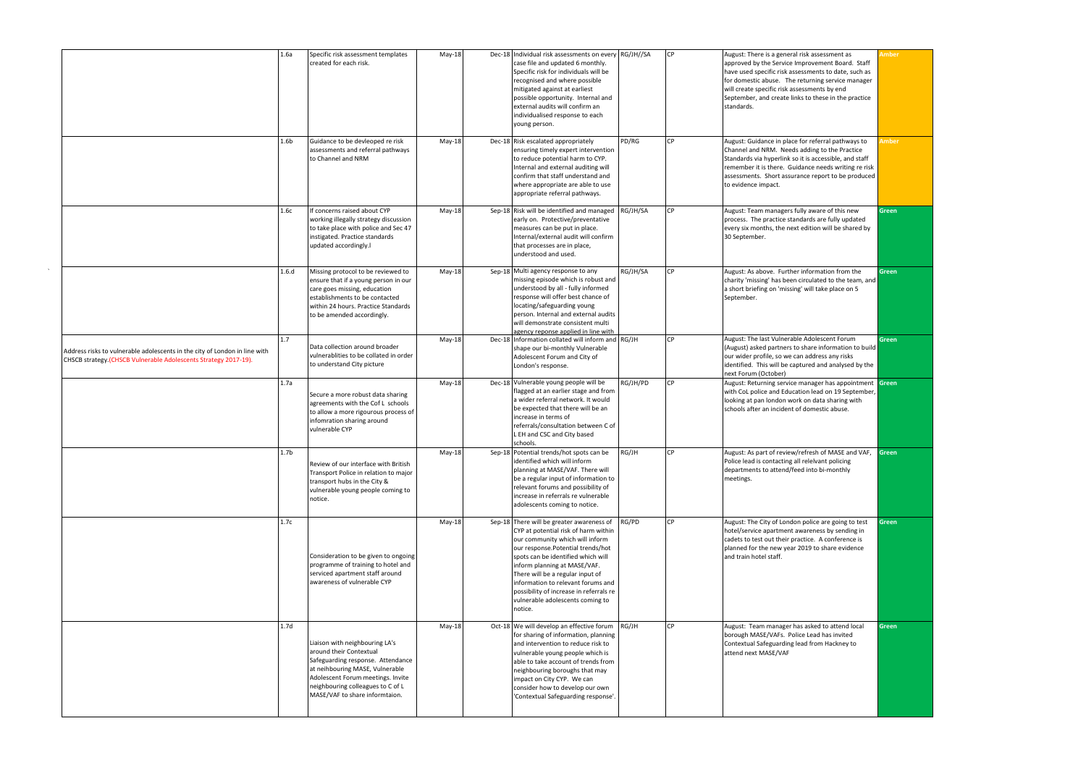|                                                                                                                                               | 1.6a             | Specific risk assessment templates<br>created for each risk.                                                                                                                                                                                  | $May-18$ | Dec-18 Individual risk assessments on every RG/JH//SA<br>case file and updated 6 monthly.<br>Specific risk for individuals will be<br>recognised and where possible<br>mitigated against at earliest<br>possible opportunity. Internal and<br>external audits will confirm an<br>individualised response to each<br>young person.                                                                    |          | l CP         | August: There is a general risk assessment as<br>approved by the Service Improvement Board. Staff<br>have used specific risk assessments to date, such as<br>for domestic abuse. The returning service manager<br>will create specific risk assessments by end<br>September, and create links to these in the practice<br>standards. | <b>Amber</b> |
|-----------------------------------------------------------------------------------------------------------------------------------------------|------------------|-----------------------------------------------------------------------------------------------------------------------------------------------------------------------------------------------------------------------------------------------|----------|------------------------------------------------------------------------------------------------------------------------------------------------------------------------------------------------------------------------------------------------------------------------------------------------------------------------------------------------------------------------------------------------------|----------|--------------|--------------------------------------------------------------------------------------------------------------------------------------------------------------------------------------------------------------------------------------------------------------------------------------------------------------------------------------|--------------|
|                                                                                                                                               | 1.6 <sub>b</sub> | Guidance to be devleoped re risk<br>assessments and referral pathways<br>to Channel and NRM                                                                                                                                                   | $May-18$ | Dec-18 Risk escalated appropriately<br>ensuring timely expert intervention<br>to reduce potential harm to CYP.<br>Internal and external auditing will<br>confirm that staff understand and<br>where appropriate are able to use<br>appropriate referral pathways.                                                                                                                                    | PD/RG    | $\mathsf{C}$ | August: Guidance in place for referral pathways to<br>Channel and NRM. Needs adding to the Practice<br>Standards via hyperlink so it is accessible, and staff<br>remember it is there. Guidance needs writing re risk<br>assessments. Short assurance report to be produced<br>to evidence impact.                                   | <b>Imber</b> |
|                                                                                                                                               | 1.6с             | If concerns raised about CYP<br>working illegally strategy discussion<br>to take place with police and Sec 47<br>instigated. Practice standards<br>updated accordingly.I                                                                      | $May-18$ | Sep-18 Risk will be identified and managed RG/JH/SA<br>early on. Protective/preventative<br>measures can be put in place.<br>Internal/external audit will confirm<br>that processes are in place,<br>understood and used.                                                                                                                                                                            |          |              | August: Team managers fully aware of this new<br>process. The practice standards are fully updated<br>every six months, the next edition will be shared by<br>30 September.                                                                                                                                                          | <b>Green</b> |
|                                                                                                                                               | 1.6.d            | Missing protocol to be reviewed to<br>ensure that if a young person in our<br>care goes missing, education<br>establishments to be contacted<br>within 24 hours. Practice Standards<br>to be amended accordingly.                             | May-18   | Sep-18 Multi agency response to any<br>missing episode which is robust and<br>understood by all - fully informed<br>response will offer best chance of<br>locating/safeguarding young<br>person. Internal and external audits<br>will demonstrate consistent multi<br>agency reponse applied in line with                                                                                            | RG/JH/SA | <b>CP</b>    | August: As above. Further information from the<br>charity 'missing' has been circulated to the team, and<br>a short briefing on 'missing' will take place on 5<br>September.                                                                                                                                                         | <b>Green</b> |
| Address risks to vulnerable adolescents in the city of London in line with<br>CHSCB strategy.(CHSCB Vulnerable Adolescents Strategy 2017-19). | 1.7              | Data collection around broader<br>vulnerablities to be collated in order<br>to understand City picture                                                                                                                                        | May-18   | Dec-18 Information collated will inform and RG/JH<br>shape our bi-monthly Vulnerable<br>Adolescent Forum and City of<br>London's response.                                                                                                                                                                                                                                                           |          | CP           | August: The last Vulnerable Adolescent Forum<br>(August) asked partners to share information to build<br>our wider profile, so we can address any risks<br>identified. This will be captured and analysed by the<br>next Forum (October)                                                                                             | <b>Green</b> |
|                                                                                                                                               | 1.7a             | Secure a more robust data sharing<br>agreements with the Cof L schools<br>to allow a more rigourous process of<br>infomration sharing around<br>vulnerable CYP                                                                                | $May-18$ | Dec-18 Vulnerable young people will be<br>flagged at an earlier stage and from<br>a wider referral network. It would<br>be expected that there will be an<br>increase in terms of<br>referrals/consultation between C of<br>L EH and CSC and City based<br>schools.                                                                                                                                  | RG/JH/PD | <b>CP</b>    | August: Returning service manager has appointment Green<br>with CoL police and Education lead on 19 September,<br>looking at pan london work on data sharing with<br>schools after an incident of domestic abuse.                                                                                                                    |              |
|                                                                                                                                               | 1.7 <sub>b</sub> | Review of our interface with British<br>Transport Police in relation to major<br>transport hubs in the City &<br>vulnerable young people coming to<br>notice.                                                                                 | $May-18$ | Sep-18 Potential trends/hot spots can be<br>identified which will inform<br>planning at MASE/VAF. There will<br>be a regular input of information to<br>relevant forums and possibility of<br>increase in referrals re vulnerable<br>adolescents coming to notice.                                                                                                                                   | RG/JH    | l CP         | August: As part of review/refresh of MASE and VAF,<br>Police lead is contacting all relelvant policing<br>departments to attend/feed into bi-monthly<br>meetings.                                                                                                                                                                    | <b>Green</b> |
|                                                                                                                                               | 1.7c             | Consideration to be given to ongoing<br>programme of training to hotel and<br>serviced apartment staff around<br>awareness of vulnerable CYP                                                                                                  | $May-18$ | Sep-18 There will be greater awareness of<br>CYP at potential risk of harm within<br>our community which will inform<br>our response. Potential trends/hot<br>spots can be identified which will<br>inform planning at MASE/VAF.<br>There will be a regular input of<br>information to relevant forums and<br>possibility of increase in referrals re<br>vulnerable adolescents coming to<br>notice. | RG/PD    | $\mathsf{C}$ | August: The City of London police are going to test<br>hotel/service apartment awareness by sending in<br>cadets to test out their practice. A conference is<br>planned for the new year 2019 to share evidence<br>and train hotel staff.                                                                                            | <b>Green</b> |
|                                                                                                                                               | 1.7 <sub>d</sub> | Liaison with neighbouring LA's<br>around their Contextual<br>Safeguarding response. Attendance<br>at neihbouring MASE, Vulnerable<br>Adolescent Forum meetings. Invite<br>neighbouring colleagues to C of L<br>MASE/VAF to share informtaion. | $May-18$ | Oct-18 We will develop an effective forum $RG/JH$<br>for sharing of information, planning<br>and intervention to reduce risk to<br>vulnerable young people which is<br>able to take account of trends from<br>neighbouring boroughs that may<br>impact on City CYP. We can<br>consider how to develop our own<br>'Contextual Safeguarding response'.                                                 |          | CP           | August: Team manager has asked to attend local<br>borough MASE/VAFs. Police Lead has invited<br>Contextual Safeguarding lead from Hackney to<br>attend next MASE/VAF                                                                                                                                                                 | <b>Green</b> |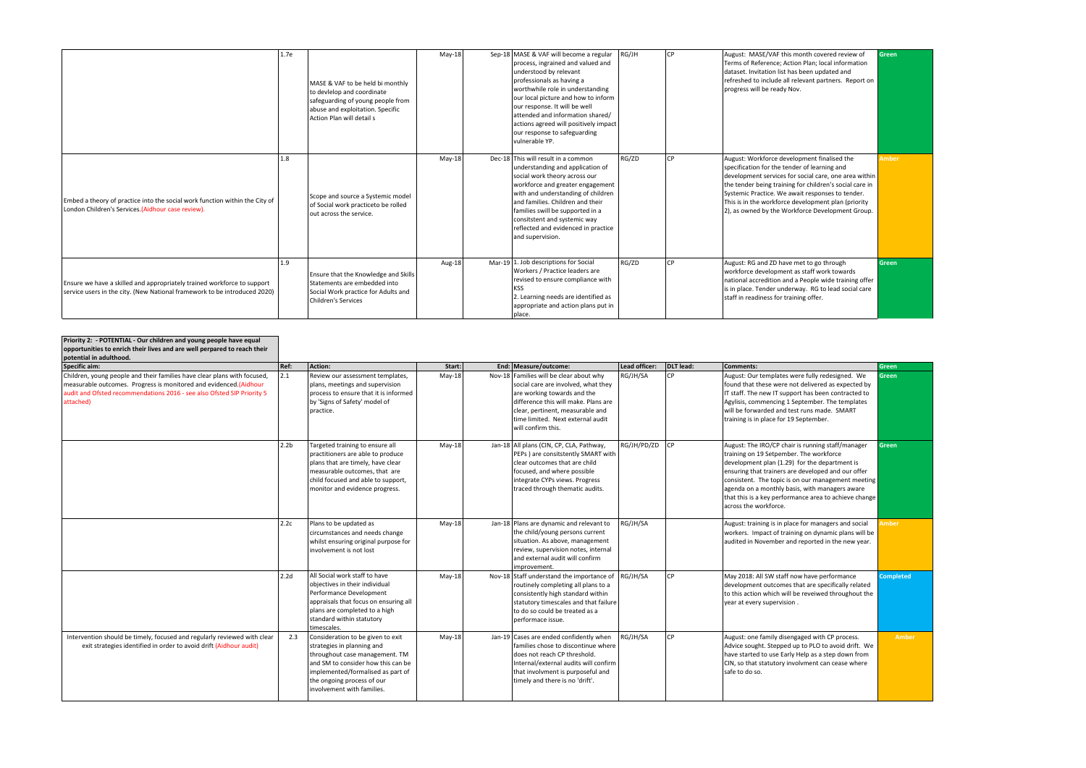|                                                                                                                                                      | 1.7e | MASE & VAF to be held bi monthly<br>to devielop and coordinate<br>safeguarding of young people from<br>abuse and exploitation. Specific<br>Action Plan will detail s | $May-18$ | Sep-18 MASE & VAF will become a regular<br>process, ingrained and valued and<br>understood by relevant<br>professionals as having a<br>worthwhile role in understanding<br>our local picture and how to inform<br>our response. It will be well<br>attended and information shared/<br>actions agreed will positively impact<br>our response to safeguarding<br>vulnerable YP. | RG/JH | <b>ICP</b> | August: MASE/VAF this month covered review of<br>Terms of Reference; Action Plan; local information<br>dataset. Invitation list has been updated and<br>refreshed to include all relevant partners. Report on<br>progress will be ready Nov.                                                                                                                                    | Green        |
|------------------------------------------------------------------------------------------------------------------------------------------------------|------|----------------------------------------------------------------------------------------------------------------------------------------------------------------------|----------|--------------------------------------------------------------------------------------------------------------------------------------------------------------------------------------------------------------------------------------------------------------------------------------------------------------------------------------------------------------------------------|-------|------------|---------------------------------------------------------------------------------------------------------------------------------------------------------------------------------------------------------------------------------------------------------------------------------------------------------------------------------------------------------------------------------|--------------|
| Embed a theory of practice into the social work function within the City of<br>London Children's Services.(Aidhour case review).                     | 1.8  | Scope and source a Systemic model<br>of Social work practiceto be rolled<br>out across the service.                                                                  | $May-18$ | Dec-18 This will result in a common<br>understanding and application of<br>social work theory across our<br>workforce and greater engagement<br>with and understanding of children<br>and families. Children and their<br>families swill be supported in a<br>consitstent and systemic way<br>reflected and evidenced in practice<br>and supervision.                          | RG/ZD | <b>CP</b>  | August: Workforce development finalised the<br>specification for the tender of learning and<br>development services for social care, one area within<br>the tender being training for children's social care in<br>Systemic Practice. We await responses to tender.<br>This is in the workforce development plan (priority<br>(2), as owned by the Workforce Development Group. | <b>Amber</b> |
| Ensure we have a skilled and appropriately trained workforce to support<br>service users in the city. (New National framework to be introduced 2020) | 1.9  | Ensure that the Knowledge and Skills<br>Statements are embedded into<br>Social Work practice for Adults and<br><b>Children's Services</b>                            | Aug-18   | Mar-19 $\vert$ 1. Job descriptions for Social<br>Workers / Practice leaders are<br>revised to ensure compliance with<br>KSS<br>2. Learning needs are identified as<br>appropriate and action plans put in<br> place.                                                                                                                                                           | RG/ZD | CP.        | August: RG and ZD have met to go through<br>workforce development as staff work towards<br>national accredition and a People wide training offer<br>is in place. Tender underway. RG to lead social care<br>staff in readiness for training offer.                                                                                                                              | <b>Green</b> |

| Priority 2: - POTENTIAL - Our children and young people have equal<br>opportunities to enrich their lives and are well perpared to reach their<br>potential in adulthood.                                                             |                  |                                                                                                                                                                                                                                          |          |                                                                                                                                                                                                                                                      |               |            |                                                                                                                                                                                                                                                                                                                                                                                               |                  |
|---------------------------------------------------------------------------------------------------------------------------------------------------------------------------------------------------------------------------------------|------------------|------------------------------------------------------------------------------------------------------------------------------------------------------------------------------------------------------------------------------------------|----------|------------------------------------------------------------------------------------------------------------------------------------------------------------------------------------------------------------------------------------------------------|---------------|------------|-----------------------------------------------------------------------------------------------------------------------------------------------------------------------------------------------------------------------------------------------------------------------------------------------------------------------------------------------------------------------------------------------|------------------|
| Specific aim:                                                                                                                                                                                                                         | Ref:             | Action:                                                                                                                                                                                                                                  | Start:   | End: Measure/outcome:                                                                                                                                                                                                                                | Lead officer: | DLT lead:  | <b>Comments:</b>                                                                                                                                                                                                                                                                                                                                                                              | <b>Green</b>     |
| Children, young people and their families have clear plans with focused,<br>measurable outcomes. Progress is monitored and evidenced. (Aidhour<br>audit and Ofsted recommendations 2016 - see also Ofsted SIP Priority 5<br>attached) | 2.1              | Review our assessment templates,<br>plans, meetings and supervision<br>process to ensure that it is informed<br>by 'Signs of Safety' model of<br>practice.                                                                               | $May-18$ | Nov-18 Families will be clear about why<br>social care are involved, what they<br>are working towards and the<br>difference this will make. Plans are<br>clear, pertinent, measurable and<br>time limited. Next external audit<br>will confirm this. | RG/JH/SA      | <b>ICP</b> | August: Our templates were fully redesigned. We<br>found that these were not delivered as expected by<br>IT staff. The new IT support has been contracted to<br>Agylisis, commencing 1 September. The templates<br>will be forwarded and test runs made. SMART<br>training is in place for 19 September.                                                                                      | Green            |
|                                                                                                                                                                                                                                       | 2.2 <sub>b</sub> | Targeted training to ensure all<br>practitioners are able to produce<br>plans that are timely, have clear<br>measurable outcomes, that are<br>child focused and able to support,<br>monitor and evidence progress.                       | $May-18$ | Jan-18 All plans (CIN, CP, CLA, Pathway,<br>PEPs ) are consitstently SMART with<br>clear outcomes that are child<br>focused, and where possible<br>integrate CYPs views. Progress<br>traced through thematic audits.                                 | RG/JH/PD/ZD   | CP         | August: The IRO/CP chair is running staff/manager<br>training on 19 Setpember. The workforce<br>development plan (1.29) for the department is<br>ensuring that trainers are developed and our offer<br>consistent. The topic is on our management meeting<br>agenda on a monthly basis, with managers aware<br>that this is a key performance area to achieve change<br>across the workforce. | <b>Green</b>     |
|                                                                                                                                                                                                                                       | 2.2c             | Plans to be updated as<br>circumstances and needs change<br>whilst ensuring original purpose for<br>involvement is not lost                                                                                                              | $May-18$ | Jan-18 Plans are dynamic and relevant to<br>the child/young persons current<br>situation. As above, management<br>review, supervision notes, internal<br>and external audit will confirm<br>improvement.                                             | RG/JH/SA      |            | August: training is in place for managers and social<br>workers. Impact of training on dynamic plans will be<br>audited in November and reported in the new year.                                                                                                                                                                                                                             | <b>Amber</b>     |
|                                                                                                                                                                                                                                       | 2.2d             | All Social work staff to have<br>obiectives in their individual<br>Performance Development<br>appraisals that focus on ensuring all<br>plans are completed to a high<br>standard within statutory<br>timescales.                         | $May-18$ | Nov-18 Staff understand the importance of RG/JH/SA<br>routinely completing all plans to a<br>consistently high standard within<br>statutory timescales and that failure<br>to do so could be treated as a<br>performace issue.                       |               | <b>ICP</b> | May 2018: All SW staff now have performance<br>development outcomes that are specifically related<br>to this action which will be reveiwed throughout the<br>year at every supervision.                                                                                                                                                                                                       | <b>Completed</b> |
| Intervention should be timely, focused and regularly reviewed with clear<br>exit strategies identified in order to avoid drift (Aidhour audit)                                                                                        | 2.3              | Consideration to be given to exit<br>strategies in planning and<br>throughout case management. TM<br>and SM to consider how this can be<br>implemented/formalised as part of<br>the ongoing process of our<br>involvement with families. | $May-18$ | Jan-19 $\vert$ Cases are ended confidently when<br>families chose to discontinue where<br>does not reach CP threshold.<br>Internal/external audits will confirm<br>that involvment is purposeful and<br>timely and there is no 'drift'.              | RG/JH/SA      | <b>ICP</b> | August: one family disengaged with CP process.<br>Advice sought. Stepped up to PLO to avoid drift. We<br>have started to use Early Help as a step down from<br>CIN, so that statutory involvment can cease where<br>safe to do so.                                                                                                                                                            | Amber            |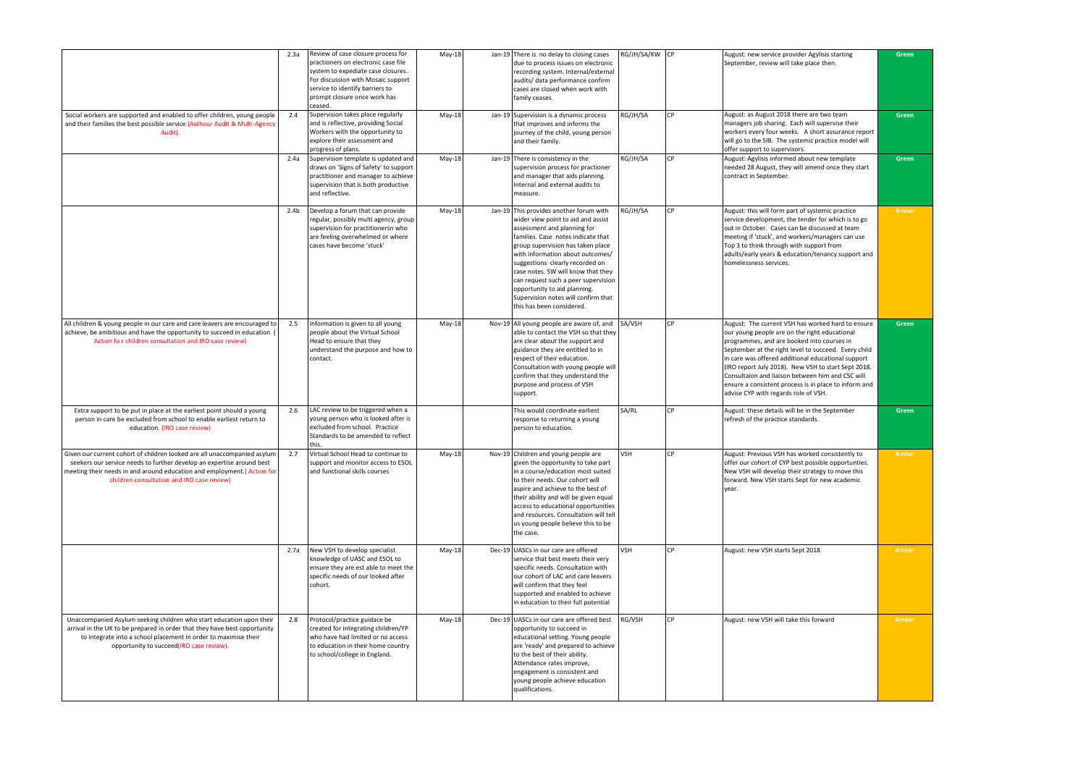|                                                                                                                                                                                                                                                                            | 2.3a             | Review of case closure process for<br>practioners on electronic case file<br>system to expediate case closures.<br>For discussion with Mosaic support<br>service to identify barriers to<br>prompt closure once work has<br>ceased. | $May-18$ | Jan-19 There is no delay to closing cases<br>due to process issues on electronic<br>recording system. Internal/external<br>audits/ data performance confirm<br>cases are closed when work with<br>family ceases.                                                                                                                                                                                                                                | RG/JH/SA/KW CP |             | August: new service provider Agylisis starting<br>September, review will take place then.                                                                                                                                                                                                                                                                                                                                                                                  | Green        |
|----------------------------------------------------------------------------------------------------------------------------------------------------------------------------------------------------------------------------------------------------------------------------|------------------|-------------------------------------------------------------------------------------------------------------------------------------------------------------------------------------------------------------------------------------|----------|-------------------------------------------------------------------------------------------------------------------------------------------------------------------------------------------------------------------------------------------------------------------------------------------------------------------------------------------------------------------------------------------------------------------------------------------------|----------------|-------------|----------------------------------------------------------------------------------------------------------------------------------------------------------------------------------------------------------------------------------------------------------------------------------------------------------------------------------------------------------------------------------------------------------------------------------------------------------------------------|--------------|
| Social workers are supported and enabled to offer children, young people<br>and their families the best possible service.(Aidhour Audit & Multi-Agency<br>Audit).                                                                                                          | 2.4              | Supervision takes place regularly<br>and is reflective, providing Social<br>Workers with the opportunity to<br>explore their assessment and<br>progress of plans.                                                                   | May-18   | Jan-19 Supervision is a dynamic process<br>that improves and informs the<br>journey of the child, young person<br>and their family.                                                                                                                                                                                                                                                                                                             | RG/JH/SA       | l CP        | August: as August 2018 there are two team<br>managers job sharing. Each will supervise their<br>workers every four weeks. A short assurance report<br>will go to the SIB. The systemic practice model will<br>offer support to supervisors.                                                                                                                                                                                                                                | Green        |
|                                                                                                                                                                                                                                                                            | 2.4a             | Supervision template is updated and<br>draws on 'Signs of Safety' to support<br>practitioner and manager to achieve<br>supervision that is both productive<br>and reflective.                                                       | May-18   | Jan-19 There is consistency in the<br>supervision process for practioner<br>and manager that aids planning.<br>Internal and external audits to<br>measure.                                                                                                                                                                                                                                                                                      | RG/JH/SA       | l CP        | August: Agylisis informed about new template<br>needed 28 August, they will amend once they start<br>contract in September.                                                                                                                                                                                                                                                                                                                                                | <b>Green</b> |
|                                                                                                                                                                                                                                                                            | 2.4 <sub>b</sub> | Develop a forum that can provide<br>regular, possibly multi agency, group<br>supervision for practitionersn who<br>are feeling overwhelmed or where<br>cases have become 'stuck'                                                    | May-18   | Jan-19 This provides another forum with<br>wider view point to aid and assist<br>assessment and planning for<br>families. Case notes indicate that<br>group supervision has taken place<br>with information about outcomes/<br>suggestions clearly recorded on<br>case notes. SW will know that they<br>can request such a peer supervision<br>opportunity to aid planning.<br>Supervision notes will confirm that<br>this has been considered. | RG/JH/SA       | <b>I</b> CP | August: this will form part of systemic practice<br>service development, the tender for which is to go<br>out in October. Cases can be discussed at team<br>meeting if 'stuck', and workers/managers can use<br>Top 3 to think through with support from<br>adults/early years & education/tenancy support and<br>homelessness services.                                                                                                                                   | Amber        |
| All children & young people in our care and care leavers are encouraged to<br>achieve, be ambitious and have the opportunity to succeed in education (<br>Action for children consultation and IRO case review)                                                            | 2.5              | Information is given to all young<br>people about the Virtual School<br>Head to ensure that they<br>understand the purpose and how to<br>contact.                                                                                   | May-18   | Nov-19 All young people are aware of, and<br>able to contact the VSH so that they<br>are clear about the support and<br>guidance they are entitled to in<br>respect of their education.<br>Consultation with young people will<br>confirm that they understand the<br>purpose and process of VSH<br>support.                                                                                                                                    | SA/VSH         | l CP        | August: The current VSH has worked hard to ensure<br>our young people are on the right educational<br>programmes, and are booked into courses in<br>September at the right level to succeed. Every child<br>in care was offered additional educational support<br>(IRO report July 2018). New VSH to start Sept 2018.<br>Consultaion and liaison between him and CSC will<br>ensure a consistent process is in place to inform and<br>advise CYP with regards role of VSH. | Green        |
| Extra support to be put in place at the earliest point should a young<br>person in care be excluded from school to enable earliest return to<br>education. (IRO case review)                                                                                               | 2.6              | LAC review to be triggered when a<br>young person who is looked after is<br>excluded from school. Practice<br>Standards to be amended to reflect<br>this.                                                                           |          | This would coordinate earliest<br>response to returning a young<br>person to education.                                                                                                                                                                                                                                                                                                                                                         | SA/RL          | <b>I</b> CP | August: these details will be in the September<br>refresh of the practice standards.                                                                                                                                                                                                                                                                                                                                                                                       | Green        |
| Given our current cohort of children looked are all unaccompanied asylum<br>seekers our service needs to further develop an expertise around best<br>meeting their needs in and around education and employment. (Action for<br>children consultation and IRO case review) | 2.7              | Virtual School Head to continue to<br>support and monitor access to ESOL<br>and functional skills courses                                                                                                                           | $May-18$ | Nov-19 Children and young people are<br>given the opportunity to take part<br>in a course/education most suited<br>to their needs. Our cohort will<br>aspire and achieve to the best of<br>their ability and will be given equal<br>access to educational opportunities<br>and resources. Consultation will tell<br>us young people believe this to be<br>the case.                                                                             | <b>VSH</b>     | <b>ICP</b>  | August: Previous VSH has worked consistently to<br>offer our cohort of CYP best possible opportunties.<br>New VSH will develop their strategy to move this<br>forward. New VSH starts Sept for new academic<br>year.                                                                                                                                                                                                                                                       | <b>Amber</b> |
|                                                                                                                                                                                                                                                                            | 2.7a             | New VSH to develop specialist<br>knowledge of UASC and ESOL to<br>ensure they are est able to meet the<br>specific needs of our looked after<br>cohort.                                                                             | $May-18$ | Dec-19 UASCs in our care are offered<br>service that best meets their very<br>specific needs. Consultation with<br>our cohort of LAC and care leavers<br>will confirm that they feel<br>supported and enabled to achieve<br>in education to their full potential                                                                                                                                                                                | <b>VSH</b>     | <b>I</b> CP | August: new VSH starts Sept 2018                                                                                                                                                                                                                                                                                                                                                                                                                                           | Amber        |
| Unaccompanied Asylum seeking children who start education upon their<br>arrival in the UK to be prepared in order that they have best opportunity<br>to integrate into a school placement in order to maximise their<br>opportunity to succeed(IRO case review).           | 2.8              | Protocol/practice guidace be<br>created for integrating children/YP<br>who have had limited or no access<br>to education in their home country<br>to school/college in England.                                                     | $May-18$ | Dec-19 UASCs in our care are offered best<br>opportunity to succeed in<br>educational setting. Young people<br>are 'ready' and prepared to achieve<br>to the best of their ability.<br>Attendance rates improve,<br>engagement is consistent and<br>young people achieve education<br>qualifications.                                                                                                                                           | RG/VSH         | <b>I</b> CP | August: new VSH will take this forward                                                                                                                                                                                                                                                                                                                                                                                                                                     | Amber        |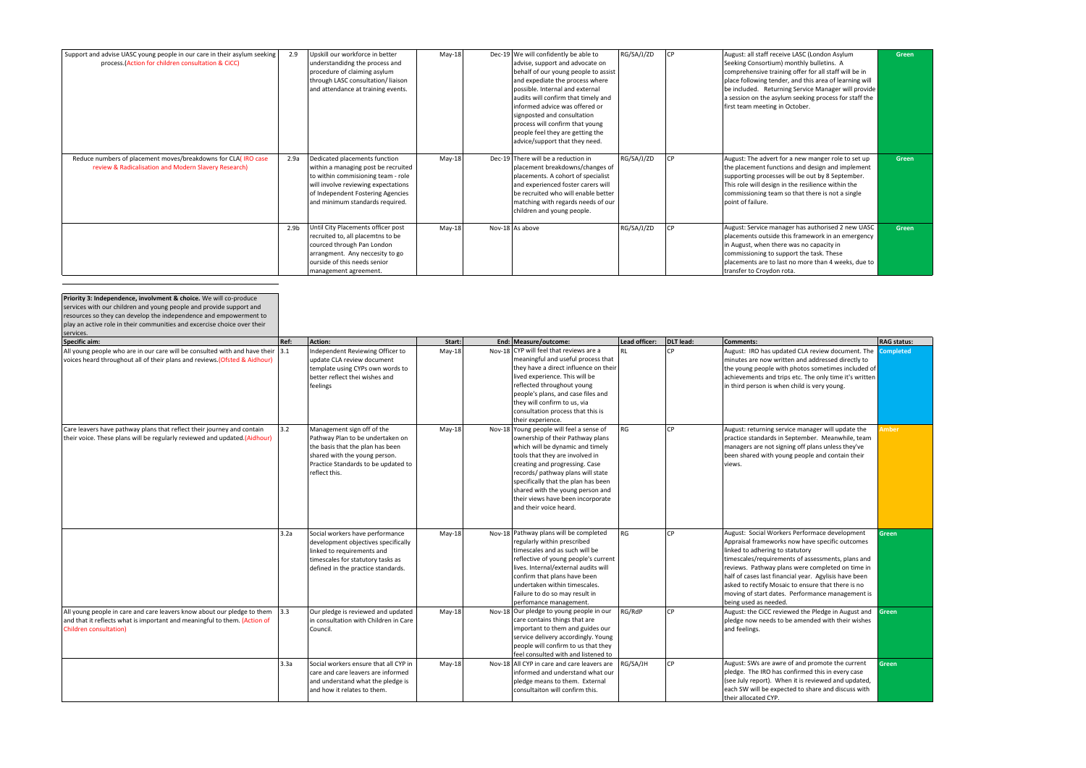| Support and advise UASC young people in our care in their asylum seeking<br>process (Action for children consultation & CiCC) | 2.9              | Upskill our workforce in better<br>understandidng the process and<br>procedure of claiming asylum<br>through LASC consultation/liaison<br>and attendance at training events.                                              | May-18   | Dec-19   We will confidently be able to<br>advise, support and advocate on<br>behalf of our young people to assist<br>and expediate the process where<br>possible. Internal and external<br>audits will confirm that timely and<br>linformed advice was offered or<br>signposted and consultation<br>process will confirm that young<br>people feel they are getting the<br>advice/support that they need. | RG/SA/J/ZD | August: all staff receive LASC (London Asylum<br>Seeking Consortium) monthly bulletins. A<br>comprehensive training offer for all staff will be in<br>place following tender, and this area of learning will<br>be included. Returning Service Manager will provide<br>a session on the asylum seeking process for staff the<br>first team meeting in October. | <b>Green</b> |
|-------------------------------------------------------------------------------------------------------------------------------|------------------|---------------------------------------------------------------------------------------------------------------------------------------------------------------------------------------------------------------------------|----------|------------------------------------------------------------------------------------------------------------------------------------------------------------------------------------------------------------------------------------------------------------------------------------------------------------------------------------------------------------------------------------------------------------|------------|----------------------------------------------------------------------------------------------------------------------------------------------------------------------------------------------------------------------------------------------------------------------------------------------------------------------------------------------------------------|--------------|
| Reduce numbers of placement moves/breakdowns for CLA(IRO case<br>review & Radicalisation and Modern Slavery Research)         | 2.9a             | Dedicated placements function<br>within a managing post be recruited<br>to within commisioning team - role<br>will involve reviewing expectations<br>of Independent Fostering Agencies<br>and minimum standards required. | $May-18$ | Dec-19 There will be a reduction in<br>placement breakdowns/changes of<br>placements. A cohort of specialist<br>and experienced foster carers will<br>be recruited who will enable better<br>matching with regards needs of our<br>children and young people.                                                                                                                                              | RG/SA/J/ZD | August: The advert for a new manger role to set up<br>the placement functions and design and implement<br>supporting processes will be out by 8 September.<br>This role will design in the resilience within the<br>commissioning team so that there is not a single<br>point of failure.                                                                      | Green        |
|                                                                                                                               | 2.9 <sub>b</sub> | Until City Placements officer post<br>recruited to, all placemtns to be<br>courced through Pan London<br>arrangment. Any neccesity to go<br>ourside of this needs senior<br>management agreement.                         | $May-18$ | Nov-18 As above                                                                                                                                                                                                                                                                                                                                                                                            | RG/SA/J/ZD | August: Service manager has authorised 2 new UASC<br>placements outside this framework in an emergency<br>in August, when there was no capacity in<br>commissioning to support the task. These<br>placements are to last no more than 4 weeks, due to<br>transfer to Croydon rota.                                                                             | Green        |

| <b>Priority 3: Independence, involvment &amp; choice.</b> We will co-produce<br>services with our children and young people and provide support and<br>resources so they can develop the independence and empowerment to<br>play an active role in their communities and excercise choice over their<br>services. |      |                                                                                                                                                                                             |          |                                                                                                                                                                                                                                                                                                                                                                      |               |           |                                                                                                                                                                                                                                                                                                                                                                                                                                          |                    |
|-------------------------------------------------------------------------------------------------------------------------------------------------------------------------------------------------------------------------------------------------------------------------------------------------------------------|------|---------------------------------------------------------------------------------------------------------------------------------------------------------------------------------------------|----------|----------------------------------------------------------------------------------------------------------------------------------------------------------------------------------------------------------------------------------------------------------------------------------------------------------------------------------------------------------------------|---------------|-----------|------------------------------------------------------------------------------------------------------------------------------------------------------------------------------------------------------------------------------------------------------------------------------------------------------------------------------------------------------------------------------------------------------------------------------------------|--------------------|
| Specific aim:                                                                                                                                                                                                                                                                                                     | Ref: | Action:                                                                                                                                                                                     | Start:   | End:   Measure/outcome:                                                                                                                                                                                                                                                                                                                                              | Lead officer: | DLT lead: | <b>Comments:</b>                                                                                                                                                                                                                                                                                                                                                                                                                         | <b>RAG status:</b> |
| All young people who are in our care will be consulted with and have their [3.1]<br>voices heard throughout all of their plans and reviews. (Ofsted & Aidhour)                                                                                                                                                    |      | Independent Reviewing Officer to<br>update CLA review document<br>template using CYPs own words to<br>better reflect thei wishes and<br>feelings                                            | $May-18$ | Nov-18 CYP will feel that reviews are a<br>meaningful and useful process that<br>they have a direct influence on their<br>lived experience. This will be<br>reflected throughout young<br>people's plans, and case files and<br>they will confirm to us, via<br>consultation process that this is<br>their experience.                                               | <b>RI</b>     | <b>CP</b> | August: IRO has updated CLA review document. The<br>minutes are now written and addressed directly to<br>the young people with photos sometimes included of<br>achievements and trips etc. The only time it's written<br>in third person is when child is very young.                                                                                                                                                                    | <b>Completed</b>   |
| Care leavers have pathway plans that reflect their journey and contain<br>their voice. These plans will be regularly reviewed and updated. (Aidhour)                                                                                                                                                              | 3.2  | Management sign off of the<br>Pathway Plan to be undertaken on<br>the basis that the plan has been<br>shared with the young person.<br>Practice Standards to be updated to<br>reflect this. | $May-18$ | Nov-18 Young people will feel a sense of<br>ownership of their Pathway plans<br>which will be dynamic and timely<br>tools that they are involved in<br>creating and progressing. Case<br>records/ pathway plans will state<br>specifically that the plan has been<br>shared with the young person and<br>their views have been incorporate<br>and their voice heard. | <b>RG</b>     | <b>CP</b> | August: returning service manager will update the<br>practice standards in September. Meanwhile, team<br>managers are not signing off plans unless they've<br>been shared with young people and contain their<br>views.                                                                                                                                                                                                                  | <b>Imber</b>       |
|                                                                                                                                                                                                                                                                                                                   | 3.2a | Social workers have performance<br>development objectives specifically<br>linked to requirements and<br>timescales for statutory tasks as<br>defined in the practice standards.             | $May-18$ | Nov-18 Pathway plans will be completed<br>regularly within prescribed<br>timescales and as such will be<br>reflective of young people's current<br>lives. Internal/external audits will<br>confirm that plans have been<br>undertaken within timescales.<br>Failure to do so may result in<br>perfomance management.                                                 | <b>RG</b>     | <b>CP</b> | August: Social Workers Performace development<br>Appraisal frameworks now have specific outcomes<br>linked to adhering to statutory<br>timescales/requirements of assessments, plans and<br>reviews. Pathway plans were completed on time in<br>half of cases last financial year. Agylisis have been<br>asked to rectify Mosaic to ensure that there is no<br>moving of start dates. Performance management is<br>being used as needed. | <b>Green</b>       |
| All young people in care and care leavers know about our pledge to them<br>and that it reflects what is important and meaningful to them. (Action of<br>Children consultation)                                                                                                                                    | 3.3  | Our pledge is reviewed and updated<br>in consultation with Children in Care<br>Council.                                                                                                     | $May-18$ | Nov-18 Our pledge to young people in our<br>care contains things that are<br>important to them and guides our<br>service delivery accordingly. Young<br>people will confirm to us that they<br>feel consulted with and listened to                                                                                                                                   | RG/RdP        | l CP      | August: the CiCC reviewed the Pledge in August and<br>pledge now needs to be amended with their wishes<br>and feelings.                                                                                                                                                                                                                                                                                                                  | <b>Green</b>       |
|                                                                                                                                                                                                                                                                                                                   | 3.3a | Social workers ensure that all CYP in<br>care and care leavers are informed<br>and understand what the pledge is<br>and how it relates to them.                                             | $May-18$ | Nov-18 All CYP in care and care leavers are<br>Informed and understand what our<br>pledge means to them. External<br>consultaiton will confirm this.                                                                                                                                                                                                                 | RG/SA/JH      | l CP      | August: SWs are awre of and promote the current<br>pledge. The IRO has confirmed this in every case<br>(see July report). When it is reviewed and updated,<br>each SW will be expected to share and discuss with<br>their allocated CYP.                                                                                                                                                                                                 | <b>Green</b>       |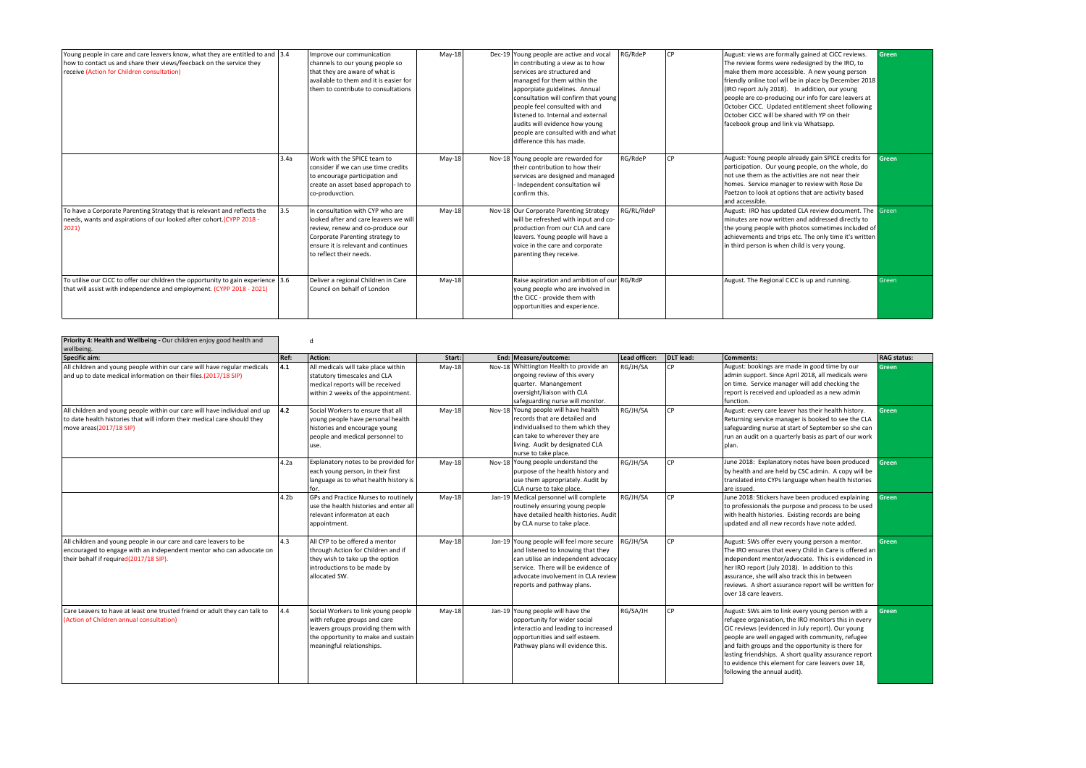| Young people in care and care leavers know, what they are entitled to and 3.4<br>how to contact us and share their views/feecback on the service they<br>receive (Action for Children consultation) |      | Improve our communication<br>channels to our young people so<br>that they are aware of what is<br>available to them and it is easier for<br>them to contribute to consultations                                    | $May-18$ | Dec-19 Young people are active and vocal<br>in contributing a view as to how<br>services are structured and<br>managed for them within the<br>apporpiate guidelines. Annual<br>consultation will confirm that young<br>people feel consulted with and<br>listened to. Internal and external<br>audits will evidence how young<br>people are consulted with and what<br>difference this has made. | RG/RdeP    | l CP | August: views are formally gained at CiCC reviews.<br>The review forms were redesigned by the IRO, to<br>make them more accessible. A new young person<br>friendly online tool wll be in place by December 2018<br>(IRO report July 2018). In addition, our young<br>people are co-producing our info for care leavers at<br>October CiCC. Updated entitlement sheet following<br>October CiCC will be shared with YP on their<br>facebook group and link via Whatsapp. | <b>Green</b> |
|-----------------------------------------------------------------------------------------------------------------------------------------------------------------------------------------------------|------|--------------------------------------------------------------------------------------------------------------------------------------------------------------------------------------------------------------------|----------|--------------------------------------------------------------------------------------------------------------------------------------------------------------------------------------------------------------------------------------------------------------------------------------------------------------------------------------------------------------------------------------------------|------------|------|-------------------------------------------------------------------------------------------------------------------------------------------------------------------------------------------------------------------------------------------------------------------------------------------------------------------------------------------------------------------------------------------------------------------------------------------------------------------------|--------------|
|                                                                                                                                                                                                     | 3.4a | Work with the SPICE team to<br>consider if we can use time credits<br>to encourage participation and<br>create an asset based appropach to<br>co-produvction.                                                      | $May-18$ | Nov-18 Young people are rewarded for<br>Itheir contribution to how their<br>services are designed and managed<br>Independent consultation wil<br>confirm this.                                                                                                                                                                                                                                   | RG/RdeP    | l CP | August: Young people already gain SPICE credits for Green<br>participation. Our young people, on the whole, do<br>Inot use them as the activities are not near their<br>homes. Service manager to review with Rose De<br>Paetzon to look at options that are activity based<br>and accessible.                                                                                                                                                                          |              |
| To have a Corporate Parenting Strategy that is relevant and reflects the<br>needs, wants and aspirations of our looked after cohort (CYPP 2018 -<br>2021)                                           | 3.5  | In consultation with CYP who are<br>looked after and care leavers we will<br>review, renew and co-produce our<br>Corporate Parenting strategy to<br>ensure it is relevant and continues<br>to reflect their needs. | $May-18$ | Nov-18 Our Corporate Parenting Strategy<br>will be refreshed with input and co-<br>production from our CLA and care<br>leavers. Young people will have a<br>voice in the care and corporate<br>parenting they receive.                                                                                                                                                                           | RG/RL/RdeP |      | August: IRO has updated CLA review document. The Green<br>minutes are now written and addressed directly to<br>the young people with photos sometimes included of<br>achievements and trips etc. The only time it's written<br>in third person is when child is very young.                                                                                                                                                                                             |              |
| To utilise our CiCC to offer our children the opportunity to gain experience 3.6<br>that will assist with independence and employment. (CYPP 2018 - 2021)                                           |      | Deliver a regional Children in Care<br>Council on behalf of London                                                                                                                                                 | $May-18$ | Raise aspiration and ambition of our RG/RdP<br>young people who are involved in<br>the CiCC - provide them with<br>opportunities and experience.                                                                                                                                                                                                                                                 |            |      | August. The Regional CiCC is up and running.                                                                                                                                                                                                                                                                                                                                                                                                                            | Green        |

| Priority 4: Health and Wellbeing - Our children enjoy good health and<br>wellbeing.<br>Specific aim:                                                                              | Ref:             | d<br>Action:                                                                                                                                                                  | Start:   | End: Measure/outcome:                                                                                                                                                                                                            | Lead officer: | DLT lead: | Comments:                                                                                                                                                                                                                                                                                                                                                                                                             | RAG status:  |
|-----------------------------------------------------------------------------------------------------------------------------------------------------------------------------------|------------------|-------------------------------------------------------------------------------------------------------------------------------------------------------------------------------|----------|----------------------------------------------------------------------------------------------------------------------------------------------------------------------------------------------------------------------------------|---------------|-----------|-----------------------------------------------------------------------------------------------------------------------------------------------------------------------------------------------------------------------------------------------------------------------------------------------------------------------------------------------------------------------------------------------------------------------|--------------|
| All children and young people within our care will have regular medicals<br>and up to date medical information on their files.(2017/18 SIP)                                       | 4.1              | All medicals will take place within<br>statutory timescales and CLA<br>medical reports will be received<br>within 2 weeks of the appointment.                                 | $Mav-18$ | Nov-18 Whittington Health to provide an<br>ongoing review of this every<br>quarter. Manangement<br>oversight/liaison with CLA<br>safeguarding nurse will monitor.                                                                | RG/JH/SA      | <b>CP</b> | August: bookings are made in good time by our<br>admin support. Since April 2018, all medicals were<br>on time. Service manager will add checking the<br>report is received and uploaded as a new admin<br>function.                                                                                                                                                                                                  | Green        |
| All children and young people within our care will have individual and up<br>to date health histories that will inform their medical care should they<br>move areas(2017/18 SIP)  | 4.2              | Social Workers to ensure that all<br>young people have personal health<br>histories and encourage young<br>people and medical personnel to<br>use.                            | $May-18$ | Nov-18 Young people will have health<br>records that are detailed and<br>individualised to them which they<br>can take to wherever they are<br>living. Audit by designated CLA<br>nurse to take place.                           | RG/JH/SA      | <b>CP</b> | August: every care leaver has their health history.<br>Returning service manager is booked to see the CLA<br>safeguarding nurse at start of September so she can<br>run an audit on a quarterly basis as part of our work<br>plan.                                                                                                                                                                                    | <b>Green</b> |
|                                                                                                                                                                                   | 4.2a             | Explanatory notes to be provided for<br>each young person, in their first<br>language as to what health history is<br>for.                                                    | $May-18$ | Nov-18 Young people understand the<br>purpose of the health history and<br>use them appropriately. Audit by<br>CLA nurse to take place.                                                                                          | RG/JH/SA      | l CP      | June 2018: Explanatory notes have been produced<br>by health and are held by CSC admin. A copy will be<br>translated into CYPs language when health histories<br>are issued.                                                                                                                                                                                                                                          | Green        |
|                                                                                                                                                                                   | 4.2 <sub>b</sub> | GPs and Practice Nurses to routinely<br>use the health histories and enter all<br>relevant informaton at each<br>appointment.                                                 | $May-18$ | Jan-19   Medical personnel will complete<br>routinely ensuring young people<br>have detailed health histories. Audit<br>by CLA nurse to take place.                                                                              | RG/JH/SA      | <b>CP</b> | June 2018: Stickers have been produced explaining<br>to professionals the purpose and process to be used<br>with health histories. Existing records are being<br>updated and all new records have note added.                                                                                                                                                                                                         | <b>Green</b> |
| All children and young people in our care and care leavers to be<br>encouraged to engage with an independent mentor who can advocate on<br>their behalf if required(2017/18 SIP). | 4.3              | All CYP to be offered a mentor<br>through Action for Children and if<br>they wish to take up the option<br>introductions to be made by<br>allocated SW.                       | $May-18$ | Jan-19 Young people will feel more secure<br>and listened to knowing that they<br>can utilise an independent advocacy<br>service. There will be evidence of<br>ladvocate involvement in CLA review<br>reports and pathway plans. | RG/JH/SA      | l CP      | August: SWs offer every young person a mentor.<br>The IRO ensures that every Child in Care is offered an<br>independent mentor/advocate. This is evidenced in<br>her IRO report (July 2018). In addition to this<br>assurance, she will also track this in between<br>reviews. A short assurance report will be written for<br>over 18 care leavers.                                                                  | Green        |
| Care Leavers to have at least one trusted friend or adult they can talk to<br>(Action of Children annual consultation)                                                            | 4.4              | Social Workers to link young people<br>with refugee groups and care<br>leavers groups providing them with<br>the opportunity to make and sustain<br>meaningful relationships. | $May-18$ | Jan-19 Young people will have the<br>opportunity for wider social<br>interactio and leading to increased<br>opportunities and self esteem.<br>Pathway plans will evidence this.                                                  | RG/SA/JH      | <b>CP</b> | August: SWs aim to link every young person with a<br>refugee organisation, the IRO monitors this in every<br>CiC reviews (evidenced in July report). Our young<br>people are well engaged with community, refugee<br>and faith groups and the opportunity is there for<br>lasting friendships. A short quality assurance report<br>to evidence this element for care leavers over 18,<br>following the annual audit). | Green        |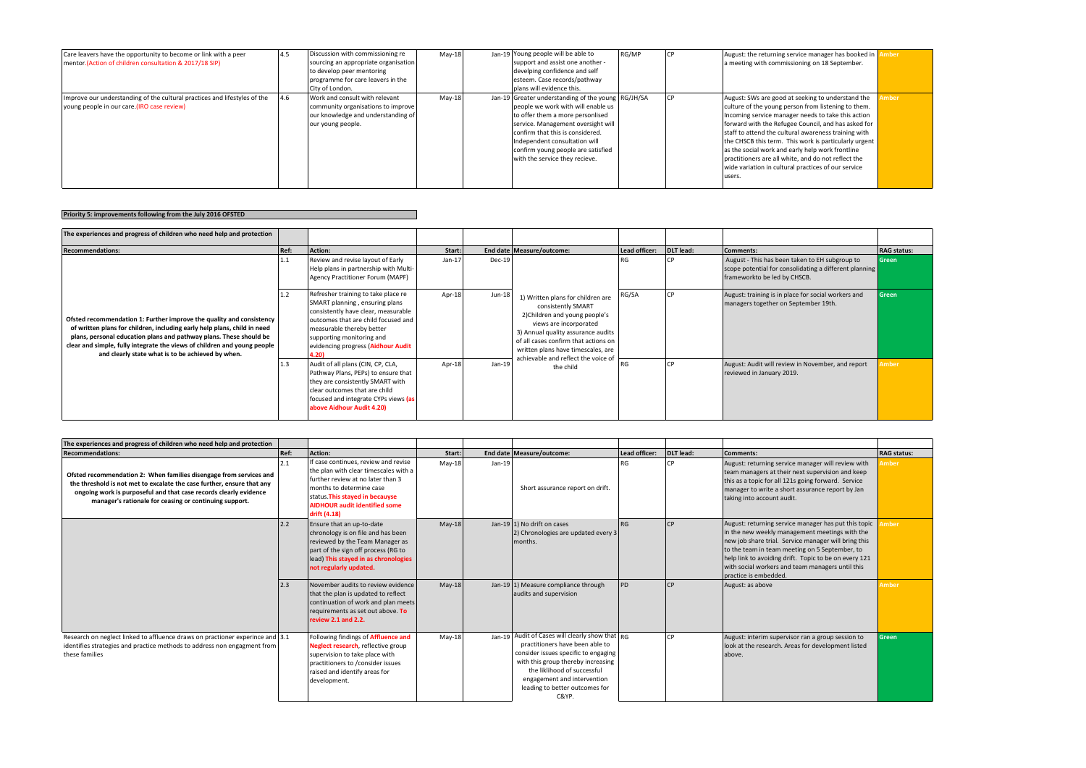| Care leavers have the opportunity to become or link with a peer<br>mentor. (Action of children consultation & 2017/18 SIP) | 4.5 | Discussion with commissioning re<br>sourcing an appropriate organisation<br>to develop peer mentoring<br>programme for care leavers in the<br>City of London. | $May-18$ | Jan-19 Young people will be able to<br>support and assist one another -<br>develping confidence and self<br>esteem. Case records/pathway<br>plans will evidence this.                                                                                                                                           | RG/MP | August: the returning service manager has booked in <b>Amber</b><br>a meeting with commissioning on 18 September.                                                                                                                                                                                                                                                                                                                                                                                                  |      |
|----------------------------------------------------------------------------------------------------------------------------|-----|---------------------------------------------------------------------------------------------------------------------------------------------------------------|----------|-----------------------------------------------------------------------------------------------------------------------------------------------------------------------------------------------------------------------------------------------------------------------------------------------------------------|-------|--------------------------------------------------------------------------------------------------------------------------------------------------------------------------------------------------------------------------------------------------------------------------------------------------------------------------------------------------------------------------------------------------------------------------------------------------------------------------------------------------------------------|------|
| Improve our understanding of the cultural practices and lifestyles of the<br>voung people in our care. (IRO case review)   | 4.6 | Work and consult with relevant<br>community organisations to improve<br>our knowledge and understanding of<br>our young people.                               | May-18   | Jan-19 Greater understanding of the young RG/JH/SA<br>people we work with will enable us<br>to offer them a more personlised<br>service. Management oversight will<br>confirm that this is considered.<br>Independent consultation will<br>confirm young people are satisfied<br>with the service they recieve. |       | August: SWs are good at seeking to understand the<br>culture of the young person from listening to them.<br>Incoming service manager needs to take this action<br>forward with the Refugee Council, and has asked for<br>staff to attend the cultural awareness training with<br>the CHSCB this term. This work is particularly urgent<br>as the social work and early help work frontline<br>practitioners are all white, and do not reflect the<br>wide variation in cultural practices of our service<br>users. | mber |

## **Priority 5: improvements following from the July 2016 OFSTED**

| The experiences and progress of children who need help and protection                                                                                                                                                                                                                                                                                   |      |                                                                                                                                                                                                                                                             |          |                |                                                                                                                                                                                                                                         |               |            |                                                                                                                                          |              |
|---------------------------------------------------------------------------------------------------------------------------------------------------------------------------------------------------------------------------------------------------------------------------------------------------------------------------------------------------------|------|-------------------------------------------------------------------------------------------------------------------------------------------------------------------------------------------------------------------------------------------------------------|----------|----------------|-----------------------------------------------------------------------------------------------------------------------------------------------------------------------------------------------------------------------------------------|---------------|------------|------------------------------------------------------------------------------------------------------------------------------------------|--------------|
| Recommendations:                                                                                                                                                                                                                                                                                                                                        | Ref: | <b>Action:</b>                                                                                                                                                                                                                                              | Start:   |                | End date Measure/outcome:                                                                                                                                                                                                               | Lead officer: | DLT lead:  | Comments:                                                                                                                                | RAG status:  |
| Ofsted recommendation 1: Further improve the quality and consistency<br>of written plans for children, including early help plans, child in need<br>plans, personal education plans and pathway plans. These should be<br>clear and simple, fully integrate the views of children and young people<br>and clearly state what is to be achieved by when. |      | Review and revise layout of Early<br>Help plans in partnership with Multi-<br>Agency Practitioner Forum (MAPF)                                                                                                                                              | $Jan-17$ | Dec-19         | 1) Written plans for children are<br>consistently SMART<br>2) Children and young people's<br>views are incorporated<br>3) Annual quality assurance audits<br>of all cases confirm that actions on<br>written plans have timescales, are | l RG          | I CP       | August - This has been taken to EH subgroup to<br>scope potential for consolidating a different planning<br>frameworkto be led by CHSCB. | <b>Green</b> |
|                                                                                                                                                                                                                                                                                                                                                         | 1.2  | Refresher training to take place re<br>SMART planning, ensuring plans<br>consistently have clear, measurable<br>outcomes that are child focused and<br>measurable thereby better<br>supporting monitoring and<br>evidencing progress (Aidhour Audit<br>1.20 | Apr-18   | Jun-18 $\vert$ |                                                                                                                                                                                                                                         | RG/SA         | LCP        | August: training is in place for social workers and<br>managers together on September 19th.                                              | <b>Green</b> |
|                                                                                                                                                                                                                                                                                                                                                         | 1.3  | Audit of all plans (CIN, CP, CLA,<br>Pathway Plans, PEPs) to ensure that<br>they are consistently SMART with<br>I clear outcomes that are child<br>focused and integrate CYPs views (as<br>above Aidhour Audit 4.20)                                        | Apr-18   | $Jan-19$       | achievable and reflect the voice of<br>the child                                                                                                                                                                                        | RG            | <b>ICP</b> | August: Audit will review in November, and report<br>reviewed in January 2019.                                                           | <b>Amber</b> |

| The experiences and progress of children who need help and protection                                                                                                                                                                                                       |      |                                                                                                                                                                                                                                           |          |          |                                                                                                                                                                                                                                                                           |               |            |                                                                                                                                                                                                                                                                                                                                                        |              |
|-----------------------------------------------------------------------------------------------------------------------------------------------------------------------------------------------------------------------------------------------------------------------------|------|-------------------------------------------------------------------------------------------------------------------------------------------------------------------------------------------------------------------------------------------|----------|----------|---------------------------------------------------------------------------------------------------------------------------------------------------------------------------------------------------------------------------------------------------------------------------|---------------|------------|--------------------------------------------------------------------------------------------------------------------------------------------------------------------------------------------------------------------------------------------------------------------------------------------------------------------------------------------------------|--------------|
| <b>Recommendations:</b>                                                                                                                                                                                                                                                     | Ref: | Action:                                                                                                                                                                                                                                   | Start:   |          | End date Measure/outcome:                                                                                                                                                                                                                                                 | Lead officer: | DLT lead:  | Comments:                                                                                                                                                                                                                                                                                                                                              | RAG status:  |
| Ofsted recommendation 2: When families disengage from services and<br>the threshold is not met to excalate the case further, ensure that any<br>ongoing work is purposeful and that case records clearly evidence<br>manager's rationale for ceasing or continuing support. | 2.1  | If case continues, review and revise<br>the plan with clear timescales with a<br>further review at no later than 3<br>months to determine case<br>status. This stayed in becauyse<br><b>AIDHOUR audit identified some</b><br>drift (4.18) | $May-18$ | $Jan-19$ | Short assurance report on drift.                                                                                                                                                                                                                                          |               | l CP.      | August: returning service manager will review with<br>team managers at their next supervision and keep<br>this as a topic for all 121s going forward. Service<br>manager to write a short assurance report by Jan<br>taking into account audit.                                                                                                        | <b>Imber</b> |
|                                                                                                                                                                                                                                                                             | 2.2  | Ensure that an up-to-date<br>chronology is on file and has been<br>reviewed by the Team Manager as<br>part of the sign off process (RG to<br>lead) This stayed in as chronologies<br>not regularly updated.                               | May-18   |          | Jan-19 1) No drift on cases<br>[2] Chronologies are updated every 3  <br>months.                                                                                                                                                                                          | <b>RG</b>     | <b>ICP</b> | August: returning service manager has put this topic<br>in the new weekly management meetings with the<br>new job share trial. Service manager will bring this<br>to the team in team meeting on 5 September, to<br>help link to avoiding drift. Topic to be on every 121<br>with social workers and team managers until this<br>practice is embedded. | <b>Imber</b> |
|                                                                                                                                                                                                                                                                             | 2.3  | November audits to review evidence<br>that the plan is updated to reflect<br>continuation of work and plan meets<br>requirements as set out above. To<br>review 2.1 and 2.2.                                                              | May-18   |          | Jan-19 $ 1$ ) Measure compliance through<br>audits and supervision                                                                                                                                                                                                        | <b>PD</b>     | <b>ICP</b> | August: as above                                                                                                                                                                                                                                                                                                                                       | Amber        |
| Research on neglect linked to affluence draws on practioner experince and 3.1<br>identifies strategies and practice methods to address non engagment from<br>these families                                                                                                 |      | Following findings of Affluence and<br>Neglect research, reflective group<br>supervision to take place with<br>practitioners to /consider issues<br>raised and identify areas for<br>development.                                         | $May-18$ |          | Jan-19 Audit of Cases will clearly show that RG<br>practitioners have been able to<br>consider issues specific to engaging<br>with this group thereby increasing<br>the liklihood of successful<br>engagement and intervention<br>leading to better outcomes for<br>C&YP. |               | ICP.       | August: interim supervisor ran a group session to<br>look at the research. Areas for development listed<br>above.                                                                                                                                                                                                                                      | <b>Green</b> |